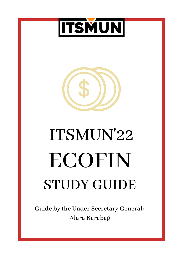



# STUDY GUIDE ECOFIN ITSMUN'22

**Guide by the Under Secretary General: Alara Karabağ**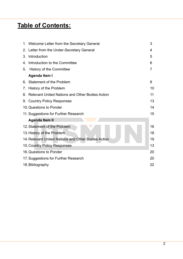## **Table of Contents:**

|    | 1. Welcome Letter from the Secretary General        | 3              |
|----|-----------------------------------------------------|----------------|
|    | 2. Letter from the Under-Secretary General          | 4              |
| 3. | Introduction                                        | 5              |
| 4. | Introduction to the Committee                       | 6              |
| 5. | History of the Committee                            | $\overline{7}$ |
|    | <b>Agenda Item I</b>                                |                |
|    | 6. Statement of the Problem                         | 8              |
|    | 7. History of the Problem                           | 10             |
|    | 8. Relevant United Nations and Other Bodies Action  | 11             |
|    | 9. Country Policy Responses                         | 13             |
|    | 10. Questions to Ponder                             | 14             |
|    | 11. Suggestions for Further Research                | 15             |
|    | <b>Agenda Item II</b>                               |                |
|    | 12. Statement of the Problem                        | 16             |
|    | 13. History of the Problem                          | 18             |
|    | 14. Relevant United Nations and Other Bodies Action | 19             |
|    | 15. Country Policy Responses                        | 13             |
|    | 16. Questions to Ponder                             | 20             |
|    | 17. Suggestions for Further Research                | 20             |
|    | 18. Bibliography                                    | 22             |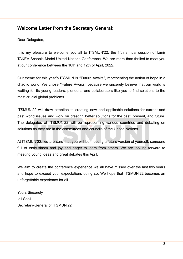#### **Welcome Letter from the Secretary General:**

Dear Delegates,

It is my pleasure to welcome you all to ITSMUN'22, the fifth annual session of Izmir TAKEV Schools Model United Nations Conference. We are more than thrilled to meet you at our conference between the 10th and 12th of April, 2022.

Our theme for this year's ITSMUN is ''Future Awaits'', representing the notion of hope in a chaotic world. We chose ''Future Awaits'' because we sincerely believe that our world is waiting for its young leaders, pioneers, and collaborators like you to find solutions to the most crucial global problems.

ITSMUN'22 will draw attention to creating new and applicable solutions for current and past world issues and work on creating better solutions for the past, present, and future. The delegates at ITSMUN'22 will be representing various countries and debating on solutions as they are in the committees and councils of the United Nations.

At ITSMUN'22, we are sure that you will be meeting a future version of yourself, someone full of enthusiasm and joy and eager to learn from others. We are looking forward to meeting young ideas and great debates this April.

We aim to create the conference experience we all have missed over the last two years and hope to exceed your expectations doing so. We hope that ITSMUN'22 becomes an unforgettable experience for all.

Yours Sincerely, Idil Secil Secretary-General of ITSMUN'22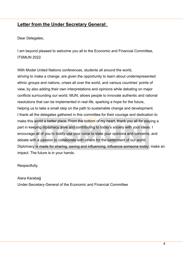#### **Letter from the Under Secretary General:**

Dear Delegates,

I am beyond pleased to welcome you all to the Economic and Financial Committee, **ITSMUN 2022.** 

With Model United Nations conferences, students all around the world, striving to make a change, are given the opportunity to learn about underrepresented ethnic groups and nations, crises all over the world, and various countries' points of view, by also adding their own interpretations and opinions while debating on major conflicts surrounding our world. MUN, allows people to innovate authentic and rational resolutions that can be implemented in real life, sparking a hope for the future, helping us to take a small step on the path to sustainable change and development. I thank all the delegates gathered in this committee for their courage and dedication to make this world a better place. From the bottom of my heart, thank you all for playing a part in keeping diplomacy alive and contributing to today's society with your ideas. I encourage all of you to boldly use your voice to state your opinions and concerns, and debate with a passion to collaborate with others for the betterment of our world. Diplomacy is made for sharing, saving and influencing. Influence someone today; make an impact. The future is in your hands.

#### Respectfully,

Alara Karabağ Under-Secretary-General of the Economic and Financial Committee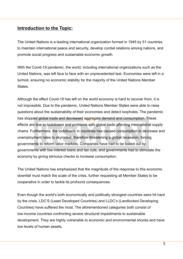#### **Introduction to the Topic:**

The United Nations is a leading international organization formed in 1945 by 51 countries to maintain international peace and security, develop cordial relations among nations, and promote social progress and sustainable economic growth.

With the Covid-19 pandemic, the world, including international organizations such as the United Nations, was left face to face with an unprecedented test. Economies were left in a turmoil, ensuring no economic stability for the majority of the United Nations Member **States** 

Although the effect Covid-19 has left on the world economy is hard to recover from, it is not impossible. Due to the pandemic, United Nations Member States were able to raise questions about the sustainability of their economies and detect loopholes. The pandemic has stopped global trade and decreased aggregate demand and consumption. These effects are due to lockdowns and problems with global trade affecting international supply chains. Furthermore, the lockdowns in countries has caused consumption to decrease and unemployment rates to skyrocket, therefore threatening a global recession, forcing governments to reform labor markets. Companies have had to be bailed out by governments with low interest loans and tax cuts, and governments had to stimulate the economy by giving stimulus checks to increase consumption.

The United Nations has emphasized that the magnitude of the response to this economic downfall must match the scale of the crisis, further requesting all Member States to be cooperative in order to tackle its profound consequences.

Even though the world's both economically and politically strongest countries were hit hard by the crisis, LDC'S (Least Developed Countries) and LLDC's (Landlocked Developing Countries) have suffered the most. The aforementioned categories both consist of low-income countries confronting severe structural impediments to sustainable development. They are highly vulnerable to economic and environmental shocks and have low levels of human assets.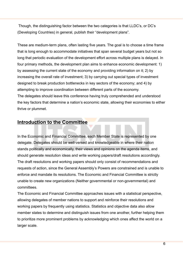Though, the distinguishing factor between the two categories is that LLDC's, or DC's (Developing Countries) in general, publish their "development plans".

These are medium-term plans, often lasting five years. The goal is to choose a time frame that is long enough to accommodate initiatives that span several budget years but not so long that periodic evaluation of the development effort across multiple plans is delayed. In four primary methods, the development plan aims to enhance economic development: 1) by assessing the current state of the economy and providing information on it; 2) by increasing the overall rate of investment; 3) by carrying out special types of investment designed to break production bottlenecks in key sectors of the economy; and 4) by attempting to improve coordination between different parts of the economy. The delegates should leave this conference having truly comprehended and understood the key factors that determine a nation's economic state, allowing their economies to either thrive or plummet.

#### **Introduction to the Committee**

In the Economic and Financial Committee, each Member State is represented by one delegate. Delegates should be well-versed and knowledgeable in where their nation stands politically and economically, their views and opinions on the agenda items, and should generate resolution ideas and write working papers/draft resolutions accordingly. The draft resolutions and working papers should only consist of recommendations and requests of action, since the General Assembly's Powers are constrained and is unable to enforce and mandate its resolutions. The Economic and Financial Committee is strictly unable to create new organizations (Neither governmental or non-governmental) and committees.

The Economic and Financial Committee approaches issues with a statistical perspective, allowing delegates of member nations to support and reinforce their resolutions and working papers by frequently using statistics. Statistics and objective data also allow member states to determine and distinguish issues from one another, further helping them to prioritize more prominent problems by acknowledging which ones affect the world on a larger scale.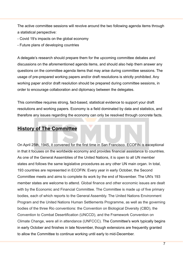The active committee sessions will revolve around the two following agenda items through a statistical perspective:

- Covid 19's impacts on the global economy
- Future plans of developing countries

A delegate's research should prepare them for the upcoming committee debates and discussions on the aforementioned agenda items, and should also help them answer any questions on the committee agenda items that may arise during committee sessions. The usage of pre-prepared working papers and/or draft resolutions is strictly prohibited. Any working paper and/or draft resolution should be prepared during committee sessions, in order to encourage collaboration and diplomacy between the delegates.

This committee requires strong, fact-based, statistical evidence to support your draft resolutions and working papers. Economy is a field dominated by data and statistics, and therefore any issues regarding the economy can only be resolved through concrete facts.

## **History of The Committee**

On April 25th, 1945, it convened for the first time in San Francisco. ECOFIN is exceptional in that it focuses on the worldwide economy and provides financial assistance to countries. As one of the General Assemblies of the United Nations, it is open to all UN member states and follows the same legislative procedures as any other UN main organ. In total, 193 countries are represented in ECOFIN. Every year in early October, the Second Committee meets and aims to complete its work by the end of November. The UN's 193 member states are welcome to attend. Global finance and other economic issues are dealt with by the Economic and Financial Committee. The Committee is made up of five primary bodies, each of which reports to the General Assembly. The United Nations Environment Program and the United Nations Human Settlements Programme, as well as the governing bodies of the three Rio conventions: the Convention on Biological Diversity (CBD), the Convention to Combat Desertification (UNCCD), and the Framework Convention on Climate Change, were all in attendance (UNFCCC). The Committee's work typically begins in early October and finishes in late November, though extensions are frequently granted to allow the Committee to continue working until early to mid-December.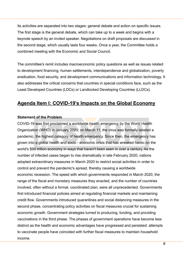Its activities are separated into two stages: general debate and action on specific issues. The first stage is the general debate, which can take up to a week and begins with a keynote speech by an invited speaker. Negotiations on draft proposals are discussed in the second stage, which usually lasts four weeks. Once a year, the Committee holds a combined meeting with the Economic and Social Council.

The committee's remit includes macroeconomic policy questions as well as issues related to development financing, human settlements, interdependence and globalization, poverty eradication, food security, and development communications and information technology. It also addresses the critical concerns that countries in special conditions face, such as the Least Developed Countries (LDCs) or Landlocked Developing Countries (LLDCs).

## **Agenda Item I: COVID-19's Impacts on the Global Economy**

#### **Statement of the Problem**

COVID-19 was first proclaimed a worldwide health emergency by the World Health Organization (WHO) in January 2020; on March 11, the virus was formally labeled a pandemic, the highest category of health emergency. Since then, the emergency has grown into a global health and socio - economic crisis that has wreaked havoc on the world's \$90 trillion economy in ways that haven't been seen in over a century. As the number of infected cases began to rise dramatically in late February 2020, nations adopted extraordinary measures in March 2020 to restrict social activities in order to control and prevent the pandemic's spread, thereby causing a worldwide economic recession. The speed with which governments responded in March 2020, the range of the fiscal and monetary measures they enacted, and the number of countries involved, often without a formal, coordinated plan, were all unprecedented. Governments first introduced financial policies aimed at regulating financial markets and maintaining credit flow. Governments introduced quarantines and social distancing measures in the second phase, concentrating policy activities on fiscal measures crucial for sustaining economic growth. Government strategies turned to producing, funding, and providing vaccinations in the third phase. The phases of government operations have become less distinct as the health and economic advantages have progressed and persisted: attempts to vaccinate people have coincided with further fiscal measures to maintain household income.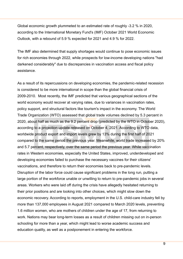Global economic growth plummeted to an estimated rate of roughly -3.2 % in 2020, according to the International Monetary Fund's (IMF) October 2021 World Economic Outlook, with a rebound of 5.9 % expected for 2021 and 4.9 % for 2022.

The IMF also determined that supply shortages would continue to pose economic issues for rich economies through 2022, while prospects for low-income developing nations "had darkened considerably" due to discrepancies in vaccination access and fiscal policy assistance.

As a result of its repercussions on developing economies, the pandemic-related recession is considered to be more international in scope than the global financial crisis of 2009-2010. Most recently, the IMF predicted that various geographical sections of the world economy would recover at varying rates, due to variances in vaccination rates, policy support, and structural factors like tourism's impact in the economy. The World Trade Organization (WTO) assessed that global trade volumes declined by 5.3 percent in 2020, about half as much as the 9.2 percent drop (predicted by the WTO in October 2020), according to a projection update released on October 4, 2021. According to WTO data, worldwide product export and import levels grew by 13% during the first half of 2021 compared to the same period the previous year. Meanwhile, world trade increased by 20% and 5.7 percent, respectively, over the same period the previous year. While vaccination rates in Western economies, especially the United States, improved, underdeveloped and developing economies failed to purchase the necessary vaccines for their citizens' vaccinations, and therefore to return their economies back to pre-pandemic levels. Disruption of the labor force could cause significant problems in the long run, putting a large portion of the workforce unable or unwilling to return to pre-pandemic jobs in several areas. Workers who were laid off during the crisis have allegedly hesitated returning to their prior positions and are looking into other choices, which might slow down the economic recovery. According to reports, employment in the U.S. child-care industry fell by more than 137,000 employees in August 2021 compared to March 2020 levels, preventing 1.6 million women, who are mothers of children under the age of 17, from returning to work. Nations may bear long-term losses as a result of children missing out on in-person schooling for more than a year, which might lead to worse academic success and education quality, as well as a postponement in entering the workforce.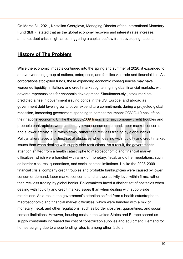On March 31, 2021, Kristalina Georgieva, Managing Director of the International Monetary Fund (IMF), stated that as the global economy recovers and interest rates increase, a market debt crisis might arise, triggering a capital outflow from developing nations.

## **History of The Problem**

While the economic impacts continued into the spring and summer of 2020, it expanded to an ever-widening group of nations, enterprises, and families via trade and financial ties. As corporations stockpiled funds, these expanding economic consequences may have worsened liquidity limitations and credit market tightening in global financial markets, with adverse repercussions for economic development. Simultaneously , stock markets predicted a rise in government issuing bonds in the US, Europe, and abroad as government debt levels grew to cover expenditure commitments during a projected global recession, increasing government spending to combat the impact COVID-19 has left on their nations' economy. Unlike the 2008-2009 financial crisis, company credit troubles and probable bankruptcies were caused by lower consumer demand, labor market concerns, and a lower activity level within firms, rather than reckless trading by global banks. Policymakers faced a distinct set of obstacles when dealing with liquidity and credit market issues than when dealing with supply-side restrictions. As a result, the government's attention shifted from a health catastrophe to macroeconomic and financial market difficulties, which were handled with a mix of monetary, fiscal, and other regulations, such as border closures, quarantines, and social contact limitations. Unlike the 2008-2009 financial crisis, company credit troubles and probable bankruptcies were caused by lower consumer demand, labor market concerns, and a lower activity level within firms, rather than reckless trading by global banks. Policymakers faced a distinct set of obstacles when dealing with liquidity and credit market issues than when dealing with supply-side restrictions. As a result, the government's attention shifted from a health catastrophe to macroeconomic and financial market difficulties, which were handled with a mix of monetary, fiscal, and other regulations, such as border closures, quarantines, and social contact limitations. However, housing costs in the United States and Europe soared as supply constraints increased the cost of construction supplies and equipment. Demand for homes surging due to cheap lending rates is among other factors.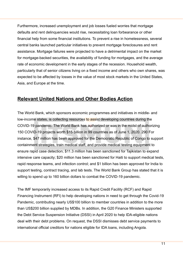Furthermore, increased unemployment and job losses fueled worries that mortgage defaults and rent delinquencies would rise, necessitating loan forbearance or other financial help from some financial institutions. To prevent a rise in homelessness, several central banks launched particular initiatives to prevent mortgage foreclosures and rent assistance. Mortgage failures were projected to have a detrimental impact on the market for mortgage-backed securities, the availability of funding for mortgages, and the average rate of economic development in the early stages of the recession. Household wealth, particularly that of senior citizens living on a fixed income and others who own shares, was expected to be affected by losses in the value of most stock markets in the United States, Asia, and Europe at the time.

## **Relevant United Nations and Other Bodies Action**

The World Bank, which sponsors economic programmes and initiatives in middle- and low-income states, is collecting resources to assist developing countries during the COVID-19 pandemic. The World Bank has authorized or was in the midst of authorizing 150 COVID-19 projects worth \$15 billion in 99 countries as of June 1, 2020. 290 For instance, \$47 million has been approved for the Democratic Republic of Congo to support containment strategies, train medical staff, and provide medical testing equipment to ensure rapid case detection; \$11.3 million has been sanctioned for Tajikistan to expand intensive care capacity; \$20 million has been sanctioned for Haiti to support medical tests, rapid response teams, and infection control; and \$1 billion has been approved for India to support testing, contract tracing, and lab tests. The World Bank Group has stated that it is willing to spend up to 160 billion dollars to combat the COVID-19 pandemic.

The IMF temporarily increased access to its Rapid Credit Facility (RCF) and Rapid Financing Instrument (RFI) to help developing nations in need to get through the Covid-19 Pandemic, contributing nearly US\$100 billion to member countries in addition to the more than US\$200 billion supplied by MDBs. In addition, the G20 Finance Ministers supported the Debt Service Suspension Initiative (DSSI) in April 2020 to help IDA-eligible nations deal with their debt problems. On request, the DSSI dismisses debt service payments to international official creditors for nations eligible for IDA loans, including Angola.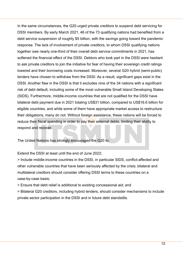In the same circumstances, the G20 urged private creditors to suspend debt servicing for DSSI members. By early March 2021, 46 of the 73 qualifying nations had benefited from a debt service suspension of roughly \$5 billion, with the savings going toward the pandemic response. The lack of involvement of private creditors, to whom DSSI qualifying nations together owe nearly one-third of their overall debt service commitments in 2021, has softened the financial effect of the DSSI. Debtors who took part in the DSSI were hesitant to ask private creditors to join the initiative for fear of having their sovereign credit ratings lowered and their borrowing costs increased. Moreover, several G20 hybrid (semi-public) lenders have chosen to withdraw from the DSSI. As a result, significant gaps exist in the DSSI. Another flaw in the DSSI is that it excludes nine of the 34 nations with a significant risk of debt default, including some of the most vulnerable Small Island Developing States (SIDS). Furthermore, middle-income countries that are not qualified for the DSSI have bilateral debt payment due in 2021 totaling US\$31 billion, compared to US\$16.6 billion for eligible countries, and while some of them have appropriate market access to restructure their obligations, many do not. Without foreign assistance, these nations will be forced to reduce their fiscal spending in order to pay their external debts, limiting their ability to respond and recover.

The United Nations has strongly encouraged the G20 to;

Extend the DSSI at least until the end of June 2022;

> Include middle-income countries in the DSSI, in particular SIDS, conflict-affected and other vulnerable countries that have been seriously affected by the crisis; bilateral and multilateral creditors should consider offering DSSI terms to these countries on a case-by-case basis;

> Ensure that debt relief is additional to existing concessional aid; and

> Bilateral G20 creditors, including hybrid lenders, should consider mechanisms to include private sector participation in the DSSI and in future debt standstills.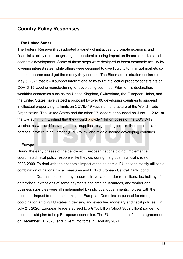## **Country Policy Responses**

#### **I. The United States**

The Federal Reserve (Fed) adopted a variety of initiatives to promote economic and financial stability after recognizing the pandemic's rising impact on financial markets and economic development. Some of these steps were designed to boost economic activity by lowering interest rates, while others were designed to give liquidity to financial markets so that businesses could get the money they needed. The Biden administration declared on May 5, 2021 that it will support international talks to lift intellectual property constraints on COVID-19 vaccine manufacturing for developing countries. Prior to this declaration, wealthier economies such as the United Kingdom, Switzerland, the European Union, and the United States have vetoed a proposal by over 80 developing countries to suspend intellectual property rights limits on COVID-19 vaccine manufacture at the World Trade Organization. The United States and the other G7 leaders announced on June 11, 2021 at the G-7 summit in England that they would provide 1 billion doses of the COVID-19 vaccine, as well as lifesaving medical supplies, oxygen, diagnostics, therapeutics, and personal protective equipment (PPE) to low and middle income developing countries.

#### **II. Europe**

During the early phases of the pandemic, European nations did not implement a coordinated fiscal policy response like they did during the global financial crisis of 2008-2009. To deal with the economic impact of the epidemic, EU nations mostly utilized a combination of national fiscal measures and ECB (European Central Bank) bond purchases. Quarantines, company closures, travel and border restrictions, tax holidays for enterprises, extensions of some payments and credit guarantees, and worker and business subsidies were all implemented by individual governments. To deal with the economic impact from the epidemic, the European Commission pushed for stronger coordination among EU states in devising and executing monetary and fiscal policies. On July 21, 2020, European leaders agreed to a €750 billion (about \$859 billion) pandemic economic aid plan to help European economies. The EU countries ratified the agreement on December 11, 2020, and it went into force in February 2021.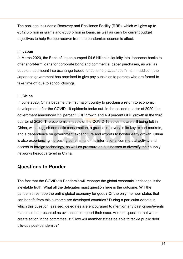The package includes a Recovery and Resilience Facility (RRF), which will give up to €312.5 billion in grants and €360 billion in loans, as well as cash for current budget objectives to help Europe recover from the pandemic's economic effect.

#### **III. Japan**

In March 2020, the Bank of Japan pumped \$4.6 billion in liquidity into Japanese banks to offer short-term loans for corporate bond and commercial paper purchases, as well as double that amount into exchange traded funds to help Japanese firms. In addition, the Japanese government has promised to give pay subsidies to parents who are forced to take time off due to school closings.

#### **III. China**

In June 2020, China became the first major country to proclaim a return to economic development after the COVID-19 epidemic broke out. In the second quarter of 2020, the government announced 3.2 percent GDP growth and 4.9 percent GDP growth in the third quarter of 2020. The economic impacts of the COVID-19 epidemic are still being felt in China, with sluggish domestic consumption, a gradual recovery in its key export markets, and a dependence on government expenditure and exports to bolster early growth. China is also experiencing increasing constraints on its international commercial activity and access to foreign technology, as well as pressure on businesses to diversify their supply networks headquartered in China.

#### **Questions to Ponder**

The fact that the COVID-19 Pandemic will reshape the global economic landscape is the inevitable truth. What all the delegates must question here is the outcome. Will the pandemic reshape the entire global economy for good? Or the only member states that can benefit from this outcome are developed countries? During a particular debate in which this question is raised, delegates are encouraged to mention any past crises/events that could be presented as evidence to support their case. Another question that would create action in the committee is: "How will member states be able to tackle public debt pile-ups post-pandemic?"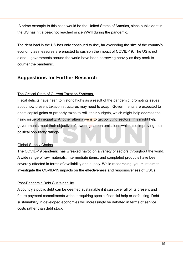A prime example to this case would be the United States of America, since public debt in the US has hit a peak not reached since WWII during the pandemic.

The debt load in the US has only continued to rise, far exceeding the size of the country's economy as measures are enacted to cushion the impact of COVID-19. The US is not alone – governments around the world have been borrowing heavily as they seek to counter the pandemic.

## **Suggestions for Further Research**

#### The Critical State of Current Taxation Systems

Fiscal deficits have risen to historic highs as a result of the pandemic, prompting issues about how present taxation structures may need to adapt. Governments are expected to enact capital gains or property taxes to refill their budgets, which might help address the rising issue of inequality. Another alternative is to tax polluting sectors; this might help governments meet their objective of lowering carbon emissions while also improving their political popularity ratings.

#### Global Supply Chains

The COVID-19 pandemic has wreaked havoc on a variety of sectors throughout the world. A wide range of raw materials, intermediate items, and completed products have been severely affected in terms of availability and supply. While researching, you must aim to investigate the COVID-19 impacts on the effectiveness and responsiveness of GSCs.

#### Post-Pandemic Debt Sustainability

A country's public debt can be deemed sustainable if it can cover all of its present and future payment commitments without requiring special financial help or defaulting. Debt sustainability in developed economies will increasingly be debated in terms of service costs rather than debt stock.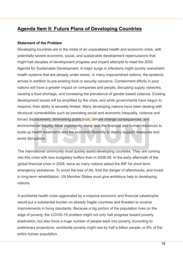## **Agenda Item II: Future Plans of Developing Countries**

#### **Statement of the Problem**

Developing countries are in the midst of an unparalleled health and economic crisis, with potentially severe economic, social, and sustainable development repercussions that might halt decades of development progress and imperil attempts to meet the 2030 Agenda for Sustainable Development. A major surge in infections might quickly overwhelm health systems that are already under stress. In many impoverished nations, the epidemic arrives in addition to pre-existing food or security concerns. Containment efforts in poor nations will have a greater impact on companies and people, disrupting supply networks, causing a food shortage, and increasing the prevalence of gender-based violence. Existing development issues will be amplified by the crisis, and while governments have begun to respond, their ability is severely limited. Many developing nations have been dealing with structural vulnerabilities such as persisting social and economic inequality, violence and forced displacement, diminishing public trust, climate change consequences, and environmental fragility. Most importantly, many lack the financial and human resources to scale up health treatments and the economic flexibility to deploy support measures and avoid disruptions.

The international community must quickly assist developing countries. They are coming into this crisis with less budgetary buffers than in 2008-09. In the early aftermath of the global financial crisis in 2008, twice as many nations asked the IMF for short-term emergency assistance. To avoid the loss of life, limit the danger of aftershocks, and invest in long-term rehabilitation, UN Member States must give ambitious help to developing nations.

A worldwide health crisis aggravated by a massive economic and financial catastrophe would put a substantial burden on already fragile countries and threaten to reverse improvements in living standards. Because a big portion of the population lives on the edge of poverty, the COVID-19 problem might not only halt progress toward poverty eradication, but also force a huge number of people back into poverty. According to preliminary projections, worldwide poverty might rise by half a billion people, or 8% of the entire human population.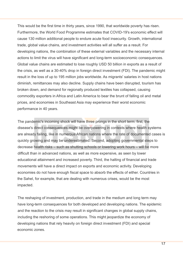This would be the first time in thirty years, since 1990, that worldwide poverty has risen. Furthermore, the World Food Programme estimates that COVID-19's economic effect will cause 130 million additional people to endure acute food insecurity. Growth, international trade, global value chains, and investment activities will all suffer as a result. For developing nations, the combination of these external variables and the necessary internal actions to limit the virus will have significant and long-term socioeconomic consequences. Global value chains are estimated to lose roughly USD 50 billion in exports as a result of the crisis, as well as a 30-40% drop in foreign direct investment (FDI). The pandemic might result in the loss of up to 195 million jobs worldwide. As migrants' salaries in host nations diminish, remittances may also decline. Supply chains have been disrupted, tourism has broken down, and demand for regionally produced textiles has collapsed, causing commodity exporters in Africa and Latin America to bear the brunt of falling oil and metal prices, and economies in Southeast Asia may experience their worst economic performance in 40 years.

The pandemic's incoming shock will have three prongs in the short term: first, the disease's direct consequences might be overpowering in contexts where health systems are already failing, like in numerous African nations where the rate of documented cases is quickly growing and may be underestimated. Second, adopting governmental steps to decrease health risks – such as shutting schools or lowering work hours – will be more difficult than in advanced nations, as well as more expensive, as seen by lower educational attainment and increased poverty. Third, the halting of financial and trade movements will have a direct impact on exports and economic activity. Developing economies do not have enough fiscal space to absorb the effects of either. Countries in the Sahel, for example, that are dealing with numerous crises, would be the most impacted.

The reshaping of investment, production, and trade in the medium and long term may have long-term consequences for both developed and developing nations. The epidemic and the reaction to the crisis may result in significant changes in global supply chains, including the reshoring of some operations. This might jeopardize the economy of developing nations that rely heavily on foreign direct investment (FDI) and special economic zones.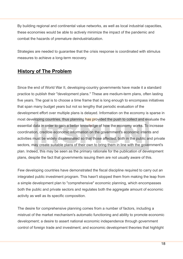By building regional and continental value networks, as well as local industrial capacities, these economies would be able to actively minimize the impact of the pandemic and combat the hazards of premature deindustrialization.

Strategies are needed to guarantee that the crisis response is coordinated with stimulus measures to achieve a long-term recovery.

## **History of The Problem**

Since the end of World War II, developing-country governments have made it a standard practice to publish their "development plans." These are medium-term plans, often lasting five years. The goal is to choose a time frame that is long enough to encompass initiatives that span many budget years but not so lengthy that periodic evaluation of the development effort over multiple plans is delayed. Information on the economy is sparse in most developing countries, thus planning has provided the push to collect and evaluate the essential data in order to gain a better knowledge of how the economy works. To increase coordination, credible economic information on the government's economic intents and activities must be widely disseminated so that those affected, both in the public and private sectors, may create suitable plans of their own to bring them in line with the government's plan. Indeed, this may be seen as the primary rationale for the publication of development plans, despite the fact that governments issuing them are not usually aware of this.

Few developing countries have demonstrated the fiscal discipline required to carry out an integrated public investment program. This hasn't stopped them from making the leap from a simple development plan to "comprehensive" economic planning, which encompasses both the public and private sectors and regulates both the aggregate amount of economic activity as well as its specific composition.

The desire for comprehensive planning comes from a number of factors, including a mistrust of the market mechanism's automatic functioning and ability to promote economic development; a desire to assert national economic independence through government control of foreign trade and investment; and economic development theories that highlight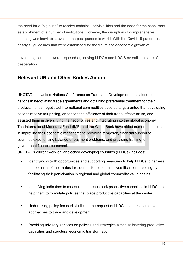the need for a "big push" to resolve technical indivisibilities and the need for the concurrent establishment of a number of institutions. However, the disruption of comprehensive planning was inevitable, even in the post-pandemic world. With the Covid-19 pandemic, nearly all guidelines that were established for the future socioeconomic growth of

developing countries were disposed of, leaving LLDC's and LDC'S overall in a state of desperation.

## **Relevant UN and Other Bodies Action**

UNCTAD, the United Nations Conference on Trade and Development, has aided poor nations in negotiating trade agreements and obtaining preferential treatment for their products. It has negotiated international commodities accords to guarantee that developing nations receive fair pricing, enhanced the efficiency of their trade infrastructure, and assisted them in diversifying their economies and integrating into the global economy. The International Monetary Fund (IMF) and the World Bank have aided numerous nations in improving their economic management, providing temporary financial support to countries experiencing balance-of-payment problems, and providing training to government finance personnel.

UNCTAD's current work on landlocked developing countries (LLDCs) includes:

- Identifying growth opportunities and supporting measures to help LLDCs to harness the potential of their natural resources for economic diversification, including by facilitating their participation in regional and global commodity value chains.
- Identifying indicators to measure and benchmark productive capacities in LLDCs to help them to formulate policies that place productive capacities at the center.
- Undertaking policy-focused studies at the request of LLDCs to seek alternative approaches to trade and development.
- Providing advisory services on policies and strategies aimed at fostering productive capacities and structural economic transformation.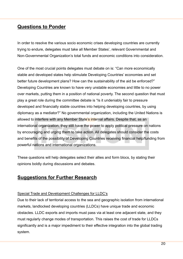## **Questions to Ponder**

In order to resolve the various socio economic crises developing countries are currently trying to endure, delegates must take all Member States', relevant Governmental and Non-Governmental Organization's total funds and economic conditions into consideration.

One of the most crucial points delegates must debate on is: "Can more economically stable and developed states help stimulate Developing Countries' economies and set better future development plans? How can the sustainability of the aid be enforced?" Developing Countries are known to have very unstable economies and little to no power over markets, putting them in a position of national poverty. The second question that must play a great role during the committee debate is "Is it undeniably fair to pressure developed and financially stable countries into helping developing countries, by using diplomacy as a mediator?" No governmental organization, including the United Nations is allowed to interfere with any Member State's internal affairs. Despite that, as an international organization, they still have the power to apply political pressure on nations by encouraging and urging them to take action. All delegates should consider the costs and benefits of the possibility of Developing Countries receiving financial help/funding from powerful nations and international organizations.

These questions will help delegates select their allies and form blocs, by stating their opinions boldly during discussions and debates.

## **Suggestions for Further Research**

#### Special Trade and Development Challenges for LLDC's

Due to their lack of territorial access to the sea and geographic isolation from international markets, landlocked developing countries (LLDCs) have unique trade and economic obstacles. LLDC exports and imports must pass via at least one adjacent state, and they must regularly change modes of transportation. This raises the cost of trade for LLDCs significantly and is a major impediment to their effective integration into the global trading system.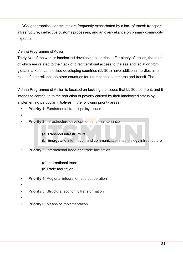LLDCs' geographical constraints are frequently exacerbated by a lack of transit-transport infrastructure, ineffective customs processes, and an over-reliance on primary commodity expertise.

#### Vienna Programme of Action

Thirty-two of the world's landlocked developing countries suffer plenty of issues, the most of which are related to their lack of direct territorial access to the sea and isolation from global markets. Landlocked developing countries (LLDCs) have additional hurdles as a result of their reliance on other countries for international commerce and transit. The

Vienna Programme of Action is focused on tackling the issues that LLDCs confront, and it intends to contribute to the reduction of poverty caused by their landlocked status by implementing particular initiatives in the following priority areas:

- **Priority 1:** Fundamental transit policy issues
- **•**
	- **Priority 2: Infrastructure development and maintenance** 
		- (a) Transport infrastructure
		- (b) Energy and information and communications technology infrastructure
- **Priority 3: International trade and trade facilitation** 
	- (a) International trade
	- (b)Trade facilitation
- **Priority 4: Regional integration and cooperation**
- **•**
- **Priority 5:** Structural economic transformation
- **•**
- **Priority 6: Means of implementation**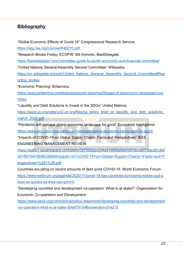### **Bibliography**

"Global Economic Effects of Covid-19" Congressional Research Service.

<https://sgp.fas.org/crs/row/R46270.pdf>,

"Research Binder Friday: ECOFIN" Bill Komidis, BestDelegate.

<https://bestdelegate.com/committee-guide-to-ecofin-economic-and-financial-committee/>

"United Nations General Assembly Second Committee" Wikipedia.

[https://en.wikipedia.org/wiki/United\\_Nations\\_General\\_Assembly\\_Second\\_Committee#Rep](https://en.wikipedia.org/wiki/United_Nations_General_Assembly_Second_Committee#Reporting_bodies) [orting\\_bodies](https://en.wikipedia.org/wiki/United_Nations_General_Assembly_Second_Committee#Reporting_bodies)

"Economic Planning" Britannica.

[https://www.britannica.com/topic/economic-planning/Stages-of-planning-in-developed-cou](https://www.britannica.com/topic/economic-planning/Stages-of-planning-in-developed-countries) [ntries](https://www.britannica.com/topic/economic-planning/Stages-of-planning-in-developed-countries)

"Liquidity and Debt Solutions to Invest in the SDGs" United Nations.

https://www.un.org/sites/un2.un.org/files/sg\_policy\_brief\_on\_liquidity\_and\_debt\_solutions [march\\_2021.pdf](https://www.un.org/sites/un2.un.org/files/sg_policy_brief_on_liquidity_and_debt_solutions_march_2021.pdf)

"Pandemic will reshape global economic landscape for good" Economist Intelligence.

<https://www.eiu.com/n/pandemic-will-reshape-global-economic-landscape-for-good/>

"Impacts of COVID-19 on Global Supply Chains: Facts and Perspectives" IEEE ENGINEERING MANAGEMENT REVIEW.

[https://static1.squarespace.com/static/5876932ac534a514869affa4/t/61dccaf07dac381de0](https://static1.squarespace.com/static/5876932ac534a514869affa4/t/61dccaf07dac381de0261ff5/1641859825699/Impacts+of+COVID-19+on+Global+Supply+Chains-+Facts+and+Perspectives+%281%29.pdf) [261ff5/1641859825699/Impacts+of+COVID-19+on+Global+Supply+Chains-+Facts+and+P](https://static1.squarespace.com/static/5876932ac534a514869affa4/t/61dccaf07dac381de0261ff5/1641859825699/Impacts+of+COVID-19+on+Global+Supply+Chains-+Facts+and+Perspectives+%281%29.pdf) [erspectives+%281%29.pdf](https://static1.squarespace.com/static/5876932ac534a514869affa4/t/61dccaf07dac381de0261ff5/1641859825699/Impacts+of+COVID-19+on+Global+Supply+Chains-+Facts+and+Perspectives+%281%29.pdf)

Countries are piling on record amounts of debt amid COVID-19. World Economic Forum. [https://www.weforum.org/agenda/2020/11/covid-19-has-countries-borrowing-money-just-a](https://www.weforum.org/agenda/2020/11/covid-19-has-countries-borrowing-money-just-about-as-quickly-as-they-can-print-it) [bout-as-quickly-as-they-can-print-it](https://www.weforum.org/agenda/2020/11/covid-19-has-countries-borrowing-money-just-about-as-quickly-as-they-can-print-it)

"Developing countries and development co-operation: What is at stake?" Organisation for Economic Co-operation and Development.

[https://www.oecd.org/coronavirus/policy-responses/developing-countries-and-development](https://www.oecd.org/coronavirus/policy-responses/developing-countries-and-development-co-operation-what-is-at-stake-50e97915/#boxsection-d1e213) [-co-operation-what-is-at-stake-50e97915/#boxsection-d1e213](https://www.oecd.org/coronavirus/policy-responses/developing-countries-and-development-co-operation-what-is-at-stake-50e97915/#boxsection-d1e213)